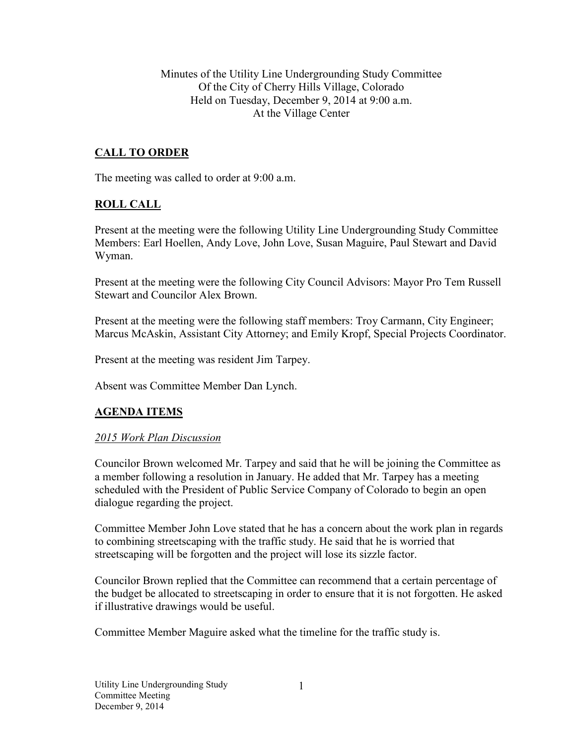Minutes of the Utility Line Undergrounding Study Committee Of the City of Cherry Hills Village, Colorado Held on Tuesday, December 9, 2014 at 9:00 a.m. At the Village Center

# **CALL TO ORDER**

The meeting was called to order at 9:00 a.m.

## **ROLL CALL**

Present at the meeting were the following Utility Line Undergrounding Study Committee Members: Earl Hoellen, Andy Love, John Love, Susan Maguire, Paul Stewart and David Wyman.

Present at the meeting were the following City Council Advisors: Mayor Pro Tem Russell Stewart and Councilor Alex Brown.

Present at the meeting were the following staff members: Troy Carmann, City Engineer; Marcus McAskin, Assistant City Attorney; and Emily Kropf, Special Projects Coordinator.

Present at the meeting was resident Jim Tarpey.

Absent was Committee Member Dan Lynch.

## **AGENDA ITEMS**

#### *2015 Work Plan Discussion*

Councilor Brown welcomed Mr. Tarpey and said that he will be joining the Committee as a member following a resolution in January. He added that Mr. Tarpey has a meeting scheduled with the President of Public Service Company of Colorado to begin an open dialogue regarding the project.

Committee Member John Love stated that he has a concern about the work plan in regards to combining streetscaping with the traffic study. He said that he is worried that streetscaping will be forgotten and the project will lose its sizzle factor.

Councilor Brown replied that the Committee can recommend that a certain percentage of the budget be allocated to streetscaping in order to ensure that it is not forgotten. He asked if illustrative drawings would be useful.

Committee Member Maguire asked what the timeline for the traffic study is.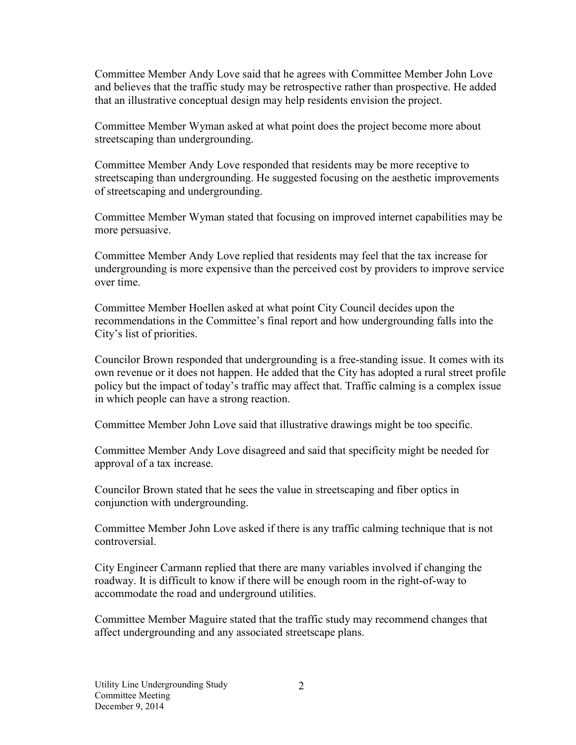Committee Member Andy Love said that he agrees with Committee Member John Love and believes that the traffic study may be retrospective rather than prospective. He added that an illustrative conceptual design may help residents envision the project.

Committee Member Wyman asked at what point does the project become more about streetscaping than undergrounding.

Committee Member Andy Love responded that residents may be more receptive to streetscaping than undergrounding. He suggested focusing on the aesthetic improvements of streetscaping and undergrounding.

Committee Member Wyman stated that focusing on improved internet capabilities may be more persuasive.

Committee Member Andy Love replied that residents may feel that the tax increase for undergrounding is more expensive than the perceived cost by providers to improve service over time.

Committee Member Hoellen asked at what point City Council decides upon the recommendations in the Committee's final report and how undergrounding falls into the City's list of priorities.

Councilor Brown responded that undergrounding is a free-standing issue. It comes with its own revenue or it does not happen. He added that the City has adopted a rural street profile policy but the impact of today's traffic may affect that. Traffic calming is a complex issue in which people can have a strong reaction.

Committee Member John Love said that illustrative drawings might be too specific.

Committee Member Andy Love disagreed and said that specificity might be needed for approval of a tax increase.

Councilor Brown stated that he sees the value in streetscaping and fiber optics in conjunction with undergrounding.

Committee Member John Love asked if there is any traffic calming technique that is not controversial.

City Engineer Carmann replied that there are many variables involved if changing the roadway. It is difficult to know if there will be enough room in the right-of-way to accommodate the road and underground utilities.

Committee Member Maguire stated that the traffic study may recommend changes that affect undergrounding and any associated streetscape plans.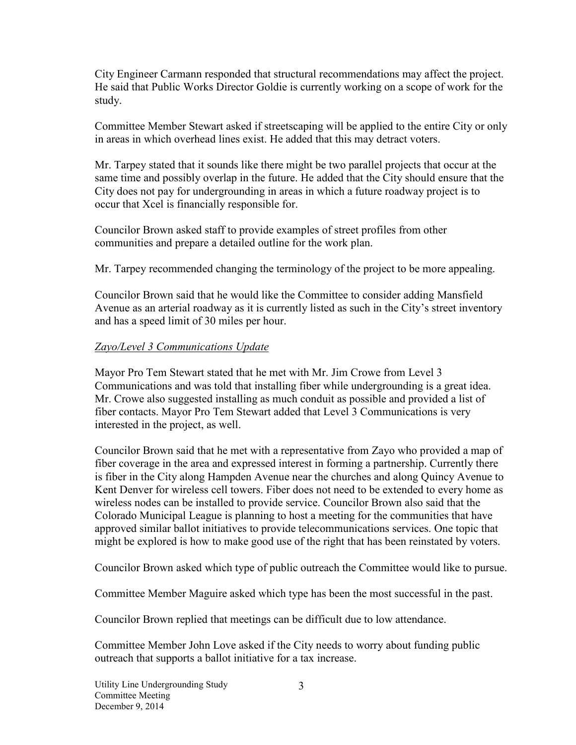City Engineer Carmann responded that structural recommendations may affect the project. He said that Public Works Director Goldie is currently working on a scope of work for the study.

Committee Member Stewart asked if streetscaping will be applied to the entire City or only in areas in which overhead lines exist. He added that this may detract voters.

Mr. Tarpey stated that it sounds like there might be two parallel projects that occur at the same time and possibly overlap in the future. He added that the City should ensure that the City does not pay for undergrounding in areas in which a future roadway project is to occur that Xcel is financially responsible for.

Councilor Brown asked staff to provide examples of street profiles from other communities and prepare a detailed outline for the work plan.

Mr. Tarpey recommended changing the terminology of the project to be more appealing.

Councilor Brown said that he would like the Committee to consider adding Mansfield Avenue as an arterial roadway as it is currently listed as such in the City's street inventory and has a speed limit of 30 miles per hour.

### *Zayo/Level 3 Communications Update*

Mayor Pro Tem Stewart stated that he met with Mr. Jim Crowe from Level 3 Communications and was told that installing fiber while undergrounding is a great idea. Mr. Crowe also suggested installing as much conduit as possible and provided a list of fiber contacts. Mayor Pro Tem Stewart added that Level 3 Communications is very interested in the project, as well.

Councilor Brown said that he met with a representative from Zayo who provided a map of fiber coverage in the area and expressed interest in forming a partnership. Currently there is fiber in the City along Hampden Avenue near the churches and along Quincy Avenue to Kent Denver for wireless cell towers. Fiber does not need to be extended to every home as wireless nodes can be installed to provide service. Councilor Brown also said that the Colorado Municipal League is planning to host a meeting for the communities that have approved similar ballot initiatives to provide telecommunications services. One topic that might be explored is how to make good use of the right that has been reinstated by voters.

Councilor Brown asked which type of public outreach the Committee would like to pursue.

Committee Member Maguire asked which type has been the most successful in the past.

Councilor Brown replied that meetings can be difficult due to low attendance.

Committee Member John Love asked if the City needs to worry about funding public outreach that supports a ballot initiative for a tax increase.